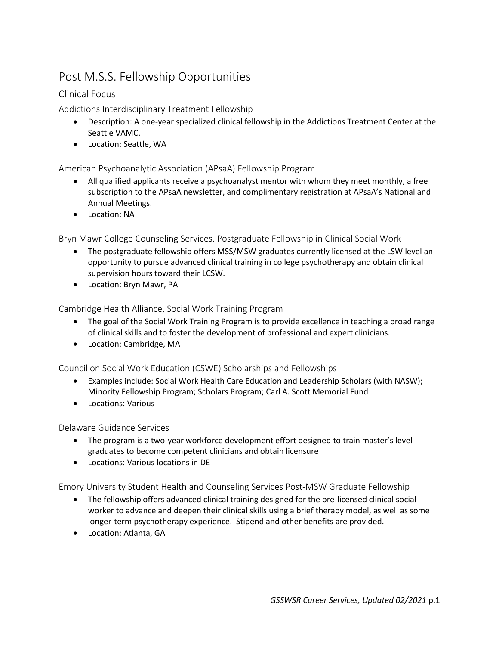# Post M.S.S. Fellowship Opportunities

## Clinical Focus

Addictions Interdisciplinary Treatment Fellowship

- Description: A one-year specialized clinical fellowship in the Addictions Treatment Center at the Seattle VAMC.
- Location: Seattle, WA

## American Psychoanalytic Association (APsaA) Fellowship Program

- All qualified applicants receive a psychoanalyst mentor with whom they meet monthly, a free subscription to the APsaA newsletter, and complimentary registration at APsaA's National and Annual Meetings.
- Location: NA

Bryn Mawr College Counseling Services, Postgraduate Fellowship in Clinical Social Work

- The postgraduate fellowship offers MSS/MSW graduates currently licensed at the LSW level an opportunity to pursue advanced clinical training in college psychotherapy and obtain clinical supervision hours toward their LCSW.
- Location: Bryn Mawr, PA

Cambridge Health Alliance, Social Work Training Program

- The goal of the Social Work Training Program is to provide excellence in teaching a broad range of clinical skills and to foster the development of professional and expert clinicians.
- Location: Cambridge, MA

Council on Social Work Education (CSWE) Scholarships and Fellowships

- Examples include: Social Work Health Care Education and Leadership Scholars (with NASW); Minority Fellowship Program; Scholars Program; Carl A. Scott Memorial Fund
- Locations: Various

Delaware Guidance Services

- The program is a two-year workforce development effort designed to train master's level graduates to become competent clinicians and obtain licensure
- Locations: Various locations in DE

Emory University Student Health and Counseling Services Post-MSW Graduate Fellowship

- The fellowship offers advanced clinical training designed for the pre-licensed clinical social worker to advance and deepen their clinical skills using a brief therapy model, as well as some longer-term psychotherapy experience. Stipend and other benefits are provided.
- Location: Atlanta, GA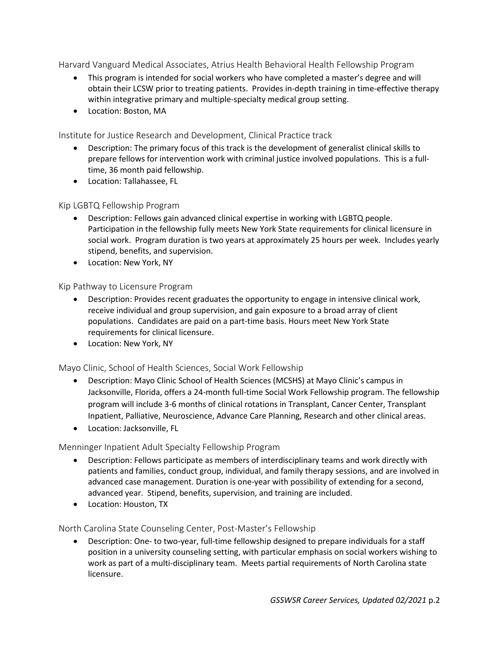Harvard Vanguard Medical Associates, Atrius Health Behavioral Health Fellowship Program

- This program is intended for social workers who have completed a master's degree and will obtain their LCSW prior to treating patients. Provides in-depth training in time-effective therapy within integrative primary and multiple-specialty medical group setting.
- Location: Boston, MA

Institute for Justice Research and Development, Clinical Practice track

- Description: The primary focus of this track is the development of generalist clinical skills to prepare fellows for intervention work with criminal justice involved populations. This is a fulltime, 36 month paid fellowship.
- Location: Tallahassee, FL

## Kip LGBTQ Fellowship Program

- Description: Fellows gain advanced clinical expertise in working with LGBTQ people. Participation in the fellowship fully meets New York State requirements for clinical licensure in social work. Program duration is two years at approximately 25 hours per week. Includes yearly stipend, benefits, and supervision.
- Location: New York, NY

## Kip Pathway to Licensure Program

- Description: Provides recent graduates the opportunity to engage in intensive clinical work, receive individual and group supervision, and gain exposure to a broad array of client populations. Candidates are paid on a part-time basis. Hours meet New York State requirements for clinical licensure.
- Location: New York, NY

#### Mayo Clinic, School of Health Sciences, Social Work Fellowship

- Description: Mayo Clinic School of Health Sciences (MCSHS) at Mayo Clinic's campus in Jacksonville, Florida, offers a 24-month full-time Social Work Fellowship program. The fellowship program will include 3-6 months of clinical rotations in Transplant, Cancer Center, Transplant Inpatient, Palliative, Neuroscience, Advance Care Planning, Research and other clinical areas.
- Location: Jacksonville, FL

#### Menninger Inpatient Adult Specialty Fellowship Program

- Description: Fellows participate as members of interdisciplinary teams and work directly with patients and families, conduct group, individual, and family therapy sessions, and are involved in advanced case management. Duration is one-year with possibility of extending for a second, advanced year. Stipend, benefits, supervision, and training are included.
- Location: Houston, TX

North Carolina State Counseling Center, Post-Master's Fellowship

• Description: One- to two-year, full-time fellowship designed to prepare individuals for a staff position in a university counseling setting, with particular emphasis on social workers wishing to work as part of a multi-disciplinary team. Meets partial requirements of North Carolina state licensure.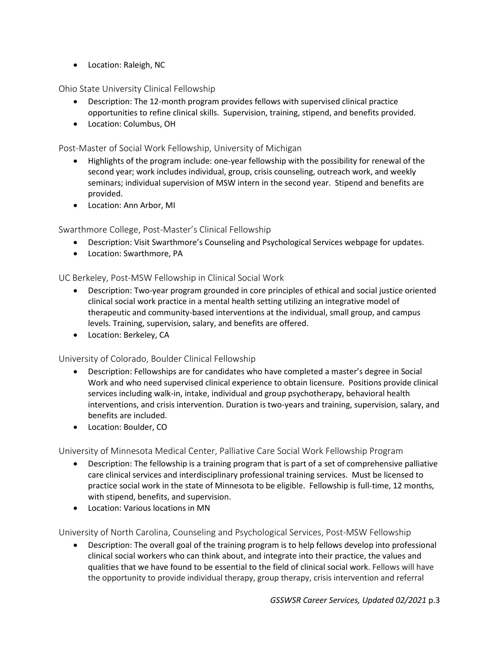• Location: Raleigh, NC

Ohio State University Clinical Fellowship

- Description: The 12-month program provides fellows with supervised clinical practice opportunities to refine clinical skills. Supervision, training, stipend, and benefits provided.
- Location: Columbus, OH

#### Post-Master of Social Work Fellowship, University of Michigan

- Highlights of the program include: one-year fellowship with the possibility for renewal of the second year; work includes individual, group, crisis counseling, outreach work, and weekly seminars; individual supervision of MSW intern in the second year. Stipend and benefits are provided.
- Location: Ann Arbor, MI

#### Swarthmore College, Post-Master's Clinical Fellowship

- Description: Visit Swarthmore's Counseling and Psychological Services webpage for updates.
- Location: Swarthmore, PA

#### UC Berkeley, Post-MSW Fellowship in Clinical Social Work

- Description: Two-year program grounded in core principles of ethical and social justice oriented clinical social work practice in a mental health setting utilizing an integrative model of therapeutic and community-based interventions at the individual, small group, and campus levels. Training, supervision, salary, and benefits are offered.
- Location: Berkeley, CA

#### University of Colorado, Boulder Clinical Fellowship

- Description: Fellowships are for candidates who have completed a master's degree in Social Work and who need supervised clinical experience to obtain licensure. Positions provide clinical services including walk-in, intake, individual and group psychotherapy, behavioral health interventions, and crisis intervention. Duration is two-years and training, supervision, salary, and benefits are included.
- Location: Boulder, CO

University of Minnesota Medical Center, Palliative Care Social Work Fellowship Program

- Description: The fellowship is a training program that is part of a set of comprehensive palliative care clinical services and interdisciplinary professional training services. Must be licensed to practice social work in the state of Minnesota to be eligible. Fellowship is full-time, 12 months, with stipend, benefits, and supervision.
- Location: Various locations in MN

University of North Carolina, Counseling and Psychological Services, Post-MSW Fellowship

• Description: The overall goal of the training program is to help fellows develop into professional clinical social workers who can think about, and integrate into their practice, the values and qualities that we have found to be essential to the field of clinical social work. Fellows will have the opportunity to provide individual therapy, group therapy, crisis intervention and referral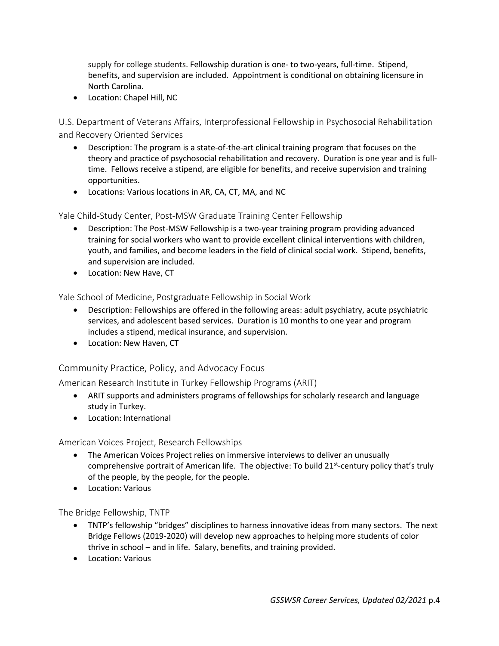supply for college students. Fellowship duration is one- to two-years, full-time. Stipend, benefits, and supervision are included. Appointment is conditional on obtaining licensure in North Carolina.

• Location: Chapel Hill, NC

U.S. Department of Veterans Affairs, Interprofessional Fellowship in Psychosocial Rehabilitation and Recovery Oriented Services

- Description: The program is a state-of-the-art clinical training program that focuses on the theory and practice of psychosocial rehabilitation and recovery. Duration is one year and is fulltime. Fellows receive a stipend, are eligible for benefits, and receive supervision and training opportunities.
- Locations: Various locations in AR, CA, CT, MA, and NC

Yale Child-Study Center, Post-MSW Graduate Training Center Fellowship

- Description: The Post-MSW Fellowship is a two-year training program providing advanced training for social workers who want to provide excellent clinical interventions with children, youth, and families, and become leaders in the field of clinical social work. Stipend, benefits, and supervision are included.
- Location: New Have, CT

Yale School of Medicine, Postgraduate Fellowship in Social Work

- Description: Fellowships are offered in the following areas: adult psychiatry, acute psychiatric services, and adolescent based services. Duration is 10 months to one year and program includes a stipend, medical insurance, and supervision.
- Location: New Haven, CT

## Community Practice, Policy, and Advocacy Focus

American Research Institute in Turkey Fellowship Programs (ARIT)

- ARIT supports and administers programs of fellowships for scholarly research and language study in Turkey.
- Location: International

#### American Voices Project, Research Fellowships

- The American Voices Project relies on immersive interviews to deliver an unusually comprehensive portrait of American life. The objective: To build 21<sup>st</sup>-century policy that's truly of the people, by the people, for the people.
- Location: Various

The Bridge Fellowship, TNTP

- TNTP's fellowship "bridges" disciplines to harness innovative ideas from many sectors. The next Bridge Fellows (2019-2020) will develop new approaches to helping more students of color thrive in school – and in life. Salary, benefits, and training provided.
- Location: Various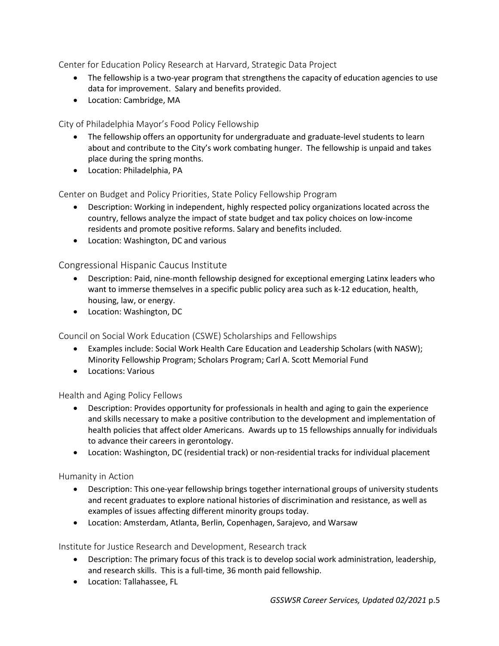Center for Education Policy Research at Harvard, Strategic Data Project

- The fellowship is a two-year program that strengthens the capacity of education agencies to use data for improvement. Salary and benefits provided.
- Location: Cambridge, MA

City of Philadelphia Mayor's Food Policy Fellowship

- The fellowship offers an opportunity for undergraduate and graduate-level students to learn about and contribute to the City's work combating hunger. The fellowship is unpaid and takes place during the spring months.
- Location: Philadelphia, PA

Center on Budget and Policy Priorities, State Policy Fellowship Program

- Description: Working in independent, highly respected policy organizations located across the country, fellows analyze the impact of state budget and tax policy choices on low-income residents and promote positive reforms. Salary and benefits included.
- Location: Washington, DC and various

## Congressional Hispanic Caucus Institute

- Description: Paid, nine-month fellowship designed for exceptional emerging Latinx leaders who want to immerse themselves in a specific public policy area such as k-12 education, health, housing, law, or energy.
- Location: Washington, DC

Council on Social Work Education (CSWE) Scholarships and Fellowships

- Examples include: Social Work Health Care Education and Leadership Scholars (with NASW); Minority Fellowship Program; Scholars Program; Carl A. Scott Memorial Fund
- Locations: Various

#### Health and Aging Policy Fellows

- Description: Provides opportunity for professionals in health and aging to gain the experience and skills necessary to make a positive contribution to the development and implementation of health policies that affect older Americans. Awards up to 15 fellowships annually for individuals to advance their careers in gerontology.
- Location: Washington, DC (residential track) or non-residential tracks for individual placement

#### Humanity in Action

- Description: This one-year fellowship brings together international groups of university students and recent graduates to explore national histories of discrimination and resistance, as well as examples of issues affecting different minority groups today.
- Location: Amsterdam, Atlanta, Berlin, Copenhagen, Sarajevo, and Warsaw

#### Institute for Justice Research and Development, Research track

- Description: The primary focus of this track is to develop social work administration, leadership, and research skills. This is a full-time, 36 month paid fellowship.
- Location: Tallahassee, FL